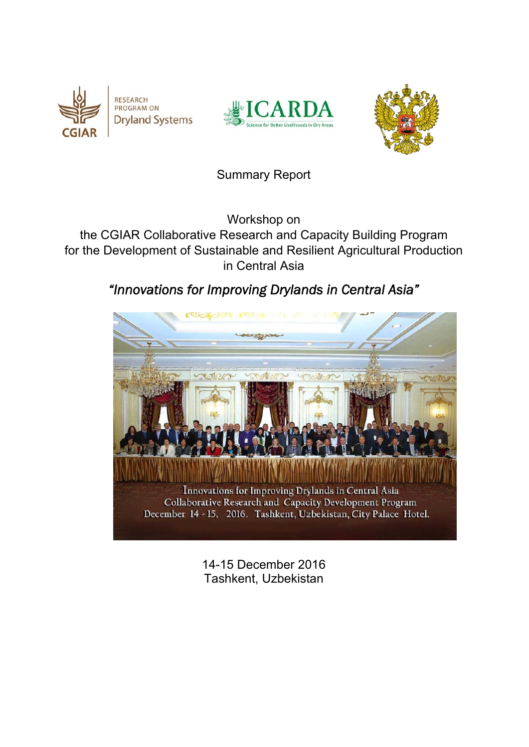





# Summary Report

Workshop on

the CGIAR Collaborative Research and Capacity Building Program for the Development of Sustainable and Resilient Agricultural Production in Central Asia

# *"Innovations for Improving Drylands in Central Asia"*



14-15 December 2016 Tashkent, Uzbekistan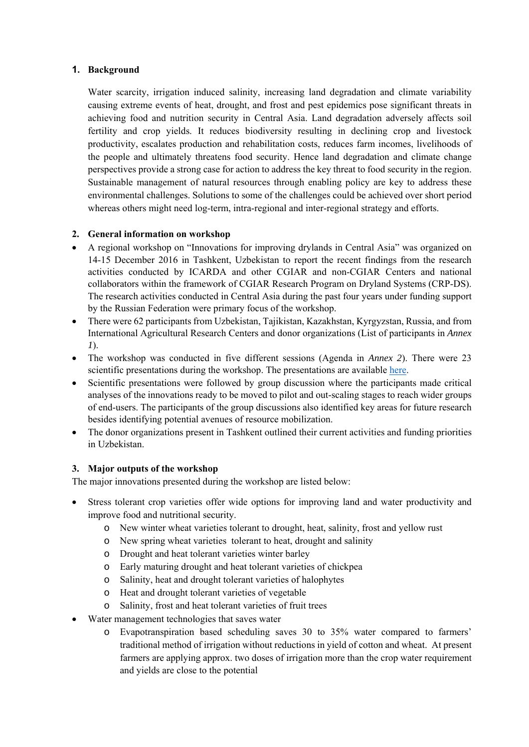#### **1. Background**

Water scarcity, irrigation induced salinity, increasing land degradation and climate variability causing extreme events of heat, drought, and frost and pest epidemics pose significant threats in achieving food and nutrition security in Central Asia. Land degradation adversely affects soil fertility and crop yields. It reduces biodiversity resulting in declining crop and livestock productivity, escalates production and rehabilitation costs, reduces farm incomes, livelihoods of the people and ultimately threatens food security. Hence land degradation and climate change perspectives provide a strong case for action to address the key threat to food security in the region. Sustainable management of natural resources through enabling policy are key to address these environmental challenges. Solutions to some of the challenges could be achieved over short period whereas others might need log-term, intra-regional and inter-regional strategy and efforts.

#### **2. General information on workshop**

- A regional workshop on "Innovations for improving drylands in Central Asia" was organized on 14-15 December 2016 in Tashkent, Uzbekistan to report the recent findings from the research activities conducted by ICARDA and other CGIAR and non-CGIAR Centers and national collaborators within the framework of CGIAR Research Program on Dryland Systems (CRP-DS). The research activities conducted in Central Asia during the past four years under funding support by the Russian Federation were primary focus of the workshop.
- There were 62 participants from Uzbekistan, Tajikistan, Kazakhstan, Kyrgyzstan, Russia, and from International Agricultural Research Centers and donor organizations (List of participants in *Annex 1*).
- The workshop was conducted in five different sessions (Agenda in *Annex 2*). There were 23 scientific presentations during the workshop. The presentations are available here.
- Scientific presentations were followed by group discussion where the participants made critical analyses of the innovations ready to be moved to pilot and out-scaling stages to reach wider groups of end-users. The participants of the group discussions also identified key areas for future research besides identifying potential avenues of resource mobilization.
- The donor organizations present in Tashkent outlined their current activities and funding priorities in Uzbekistan.

### **3. Major outputs of the workshop**

The major innovations presented during the workshop are listed below:

- Stress tolerant crop varieties offer wide options for improving land and water productivity and improve food and nutritional security.
	- o New winter wheat varieties tolerant to drought, heat, salinity, frost and yellow rust
	- o New spring wheat varieties tolerant to heat, drought and salinity
	- o Drought and heat tolerant varieties winter barley
	- o Early maturing drought and heat tolerant varieties of chickpea
	- o Salinity, heat and drought tolerant varieties of halophytes
	- o Heat and drought tolerant varieties of vegetable
	- o Salinity, frost and heat tolerant varieties of fruit trees
- Water management technologies that saves water
	- o Evapotranspiration based scheduling saves 30 to 35% water compared to farmers' traditional method of irrigation without reductions in yield of cotton and wheat. At present farmers are applying approx. two doses of irrigation more than the crop water requirement and yields are close to the potential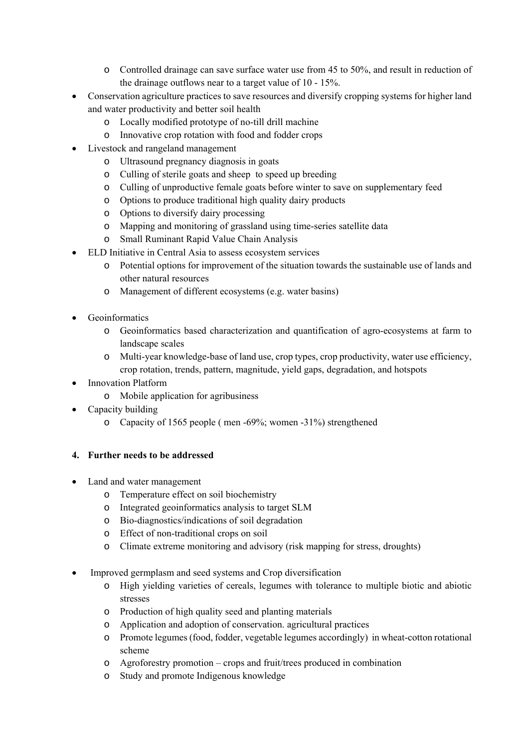- o Controlled drainage can save surface water use from 45 to 50%, and result in reduction of the drainage outflows near to a target value of 10 - 15%.
- Conservation agriculture practices to save resources and diversify cropping systems for higher land and water productivity and better soil health
	- o Locally modified prototype of no-till drill machine
	- o Innovative crop rotation with food and fodder crops
- Livestock and rangeland management
	- o Ultrasound pregnancy diagnosis in goats
	- o Culling of sterile goats and sheep to speed up breeding
	- o Culling of unproductive female goats before winter to save on supplementary feed
	- o Options to produce traditional high quality dairy products
	- o Options to diversify dairy processing
	- o Mapping and monitoring of grassland using time-series satellite data
	- o Small Ruminant Rapid Value Chain Analysis
- ELD Initiative in Central Asia to assess ecosystem services
	- o Potential options for improvement of the situation towards the sustainable use of lands and other natural resources
	- o Management of different ecosystems (e.g. water basins)
- Geoinformatics
	- o Geoinformatics based characterization and quantification of agro-ecosystems at farm to landscape scales
	- o Multi-year knowledge-base of land use, crop types, crop productivity, water use efficiency, crop rotation, trends, pattern, magnitude, yield gaps, degradation, and hotspots
- Innovation Platform
	- o Mobile application for agribusiness
- Capacity building
	- o Capacity of 1565 people ( men -69%; women -31%) strengthened

#### **4. Further needs to be addressed**

- Land and water management
	- o Temperature effect on soil biochemistry
	- o Integrated geoinformatics analysis to target SLM
	- o Bio-diagnostics/indications of soil degradation
	- o Effect of non-traditional crops on soil
	- o Climate extreme monitoring and advisory (risk mapping for stress, droughts)
- Improved germplasm and seed systems and Crop diversification
	- o High yielding varieties of cereals, legumes with tolerance to multiple biotic and abiotic stresses
	- o Production of high quality seed and planting materials
	- o Application and adoption of conservation. agricultural practices
	- o Promote legumes (food, fodder, vegetable legumes accordingly) in wheat-cotton rotational scheme
	- o Agroforestry promotion crops and fruit/trees produced in combination
	- o Study and promote Indigenous knowledge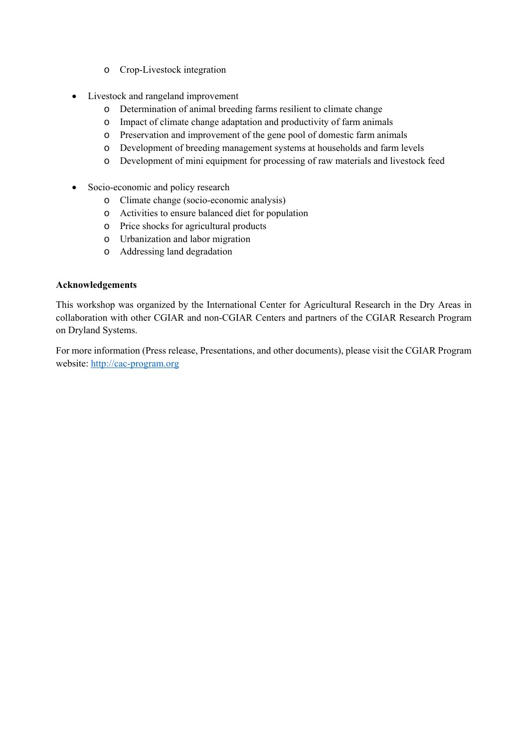- o Crop-Livestock integration
- Livestock and rangeland improvement
	- o Determination of animal breeding farms resilient to climate change
	- o Impact of climate change adaptation and productivity of farm animals
	- o Preservation and improvement of the gene pool of domestic farm animals
	- o Development of breeding management systems at households and farm levels
	- o Development of mini equipment for processing of raw materials and livestock feed
- Socio-economic and policy research
	- o Climate change (socio-economic analysis)
	- o Activities to ensure balanced diet for population
	- o Price shocks for agricultural products
	- o Urbanization and labor migration
	- o Addressing land degradation

#### **Acknowledgements**

This workshop was organized by the International Center for Agricultural Research in the Dry Areas in collaboration with other CGIAR and non-CGIAR Centers and partners of the CGIAR Research Program on Dryland Systems.

For more information (Press release, Presentations, and other documents), please visit the CGIAR Program website: http://cac-program.org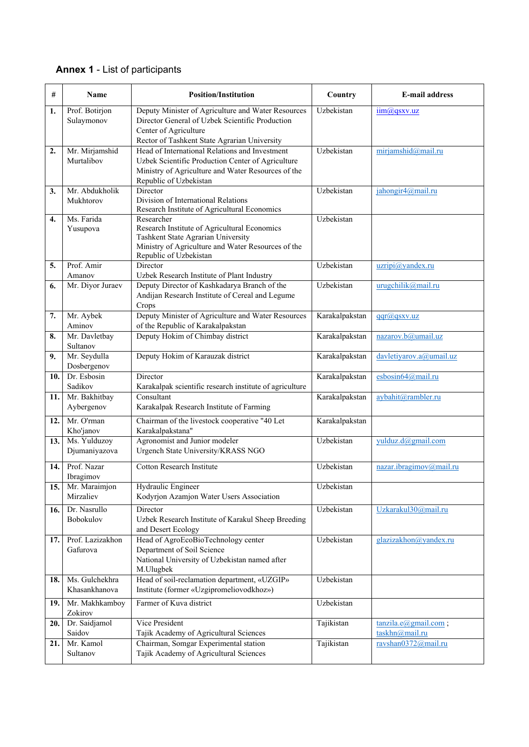## **Annex 1** - List of participants

| #   | Name                            | <b>Position/Institution</b>                                                                                                                                                         | Country        | <b>E-mail address</b>                       |
|-----|---------------------------------|-------------------------------------------------------------------------------------------------------------------------------------------------------------------------------------|----------------|---------------------------------------------|
| 1.  | Prof. Botirjon<br>Sulaymonov    | Deputy Minister of Agriculture and Water Resources<br>Director General of Uzbek Scientific Production<br>Center of Agriculture<br>Rector of Tashkent State Agrarian University      | Uzbekistan     | $\lim_{x \to 0}$ as xv.uz                   |
| 2.  | Mr. Mirjamshid<br>Murtalibov    | Head of International Relations and Investment<br>Uzbek Scientific Production Center of Agriculture<br>Ministry of Agriculture and Water Resources of the<br>Republic of Uzbekistan | Uzbekistan     | mirjamshid@mail.ru                          |
| 3.  | Mr. Abdukholik<br>Mukhtorov     | Director<br>Division of International Relations<br>Research Institute of Agricultural Economics                                                                                     | Uzbekistan     | jahongir4@mail.ru                           |
| 4.  | Ms. Farida<br>Yusupova          | Researcher<br>Research Institute of Agricultural Economics<br>Tashkent State Agrarian University<br>Ministry of Agriculture and Water Resources of the<br>Republic of Uzbekistan    | Uzbekistan     |                                             |
| 5.  | Prof. Amir<br>Amanov            | Director<br>Uzbek Research Institute of Plant Industry                                                                                                                              | Uzbekistan     | uzripi@yandex.ru                            |
| 6.  | Mr. Diyor Juraev                | Deputy Director of Kashkadarya Branch of the<br>Andijan Research Institute of Cereal and Legume<br>Crops                                                                            | Uzbekistan     | urugchilik@mail.ru                          |
| 7.  | Mr. Aybek<br>Aminov             | Deputy Minister of Agriculture and Water Resources<br>of the Republic of Karakalpakstan                                                                                             | Karakalpakstan | qqr@qsxv.uz                                 |
| 8.  | Mr. Davletbay<br>Sultanov       | Deputy Hokim of Chimbay district                                                                                                                                                    | Karakalpakstan | nazarov.b@umail.uz                          |
| 9.  | Mr. Seydulla<br>Dosbergenov     | Deputy Hokim of Karauzak district                                                                                                                                                   | Karakalpakstan | davletiyarov.a@umail.uz                     |
| 10. | Dr. Esbosin<br>Sadikov          | Director<br>Karakalpak scientific research institute of agriculture                                                                                                                 | Karakalpakstan | esbosin64@mail.ru                           |
| 11. | Mr. Bakhitbay<br>Aybergenov     | Consultant<br>Karakalpak Research Institute of Farming                                                                                                                              | Karakalpakstan | aybahit@rambler.ru                          |
| 12. | Mr. O'rman<br>Kho'janov         | Chairman of the livestock cooperative "40 Let<br>Karakalpakstana"                                                                                                                   | Karakalpakstan |                                             |
| 13. | Ms. Yulduzoy<br>Djumaniyazova   | Agronomist and Junior modeler<br>Urgench State University/KRASS NGO                                                                                                                 | Uzbekistan     | yulduz.d@gmail.com                          |
| 14. | Prof. Nazar<br>Ibragimov        | <b>Cotton Research Institute</b>                                                                                                                                                    | Uzbekistan     | nazar.ibragimov@mail.ru                     |
| 15. | Mr. Maraimjon<br>Mirzaliev      | Hydraulic Engineer<br>Kodyrjon Azamjon Water Users Association                                                                                                                      | Uzbekistan     |                                             |
| 16. | Dr. Nasrullo<br>Bobokulov       | Director<br>Uzbek Research Institute of Karakul Sheep Breeding<br>and Desert Ecology                                                                                                | Uzbekistan     | Uzkarakul30@mail.ru                         |
| 17. | Prof. Lazizakhon<br>Gafurova    | Head of AgroEcoBioTechnology center<br>Department of Soil Science<br>National University of Uzbekistan named after<br>M.Ulugbek                                                     | Uzbekistan     | glazizakhon@yandex.ru                       |
| 18. | Ms. Gulchekhra<br>Khasankhanova | Head of soil-reclamation department, «UZGIP»<br>Institute (former «Uzgipromeliovodkhoz»)                                                                                            | Uzbekistan     |                                             |
| 19. | Mr. Makhkamboy<br>Zokirov       | Farmer of Kuva district                                                                                                                                                             | Uzbekistan     |                                             |
| 20. | Dr. Saidjamol<br>Saidov         | Vice President<br>Tajik Academy of Agricultural Sciences                                                                                                                            | Tajikistan     | $tanzila.e(a)$ gmail.com;<br>taskhn@mail.ru |
| 21. | Mr. Kamol<br>Sultanov           | Chairman, Somgar Experimental station<br>Tajik Academy of Agricultural Sciences                                                                                                     | Tajikistan     | ravshan0372@mail.ru                         |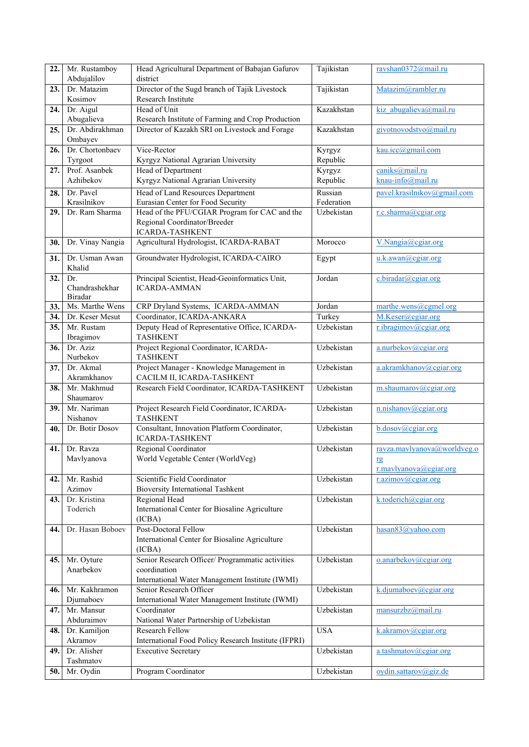| 22.  | Mr. Rustamboy            | Head Agricultural Department of Babajan Gafurov                 | Tajikistan | ravshan0372@mail.ru         |
|------|--------------------------|-----------------------------------------------------------------|------------|-----------------------------|
|      | Abdujalilov              | district                                                        |            |                             |
| 23.  | Dr. Matazim              | Director of the Sugd branch of Tajik Livestock                  | Tajikistan | Matazim@rambler.ru          |
|      | Kosimov                  | Research Institute                                              |            |                             |
| 24.  | Dr. Aigul<br>Abugalieva  | Head of Unit                                                    | Kazakhstan | kiz abugalieva@mail.ru      |
|      | Dr. Abdirakhman          | Research Institute of Farming and Crop Production               | Kazakhstan |                             |
| 25.  | Ombayev                  | Director of Kazakh SRI on Livestock and Forage                  |            | givotnovodstvo@mail.ru      |
| 26.  | Dr. Chortonbaev          | Vice-Rector                                                     | Kyrgyz     | $k$ au.icc $@g$ mail.com    |
|      | Tyrgoot                  | Kyrgyz National Agrarian University                             | Republic   |                             |
| 27.  | Prof. Asanbek            | Head of Department                                              | Kyrgyz     | caniks@mail.ru              |
|      | Azhibekov                | Kyrgyz National Agrarian University                             | Republic   | knau-info@mail.ru           |
| 28.  | Dr. Pavel                | Head of Land Resources Department                               | Russian    | pavel.krasilnikov@gmail.com |
|      | Krasilnikov              | Eurasian Center for Food Security                               | Federation |                             |
| 29.  | Dr. Ram Sharma           | Head of the PFU/CGIAR Program for CAC and the                   | Uzbekistan | r.c.sharma@cgiar.org        |
|      |                          | Regional Coordinator/Breeder                                    |            |                             |
|      |                          | <b>ICARDA-TASHKENT</b>                                          |            |                             |
| 30.  | Dr. Vinay Nangia         | Agricultural Hydrologist, ICARDA-RABAT                          | Morocco    | V.Nangia@cgiar.org          |
| 31.  | Dr. Usman Awan           | Groundwater Hydrologist, ICARDA-CAIRO                           | Egypt      | u.k.awan@cgiar.org          |
|      | Khalid                   |                                                                 |            |                             |
| 32.  | Dr.                      | Principal Scientist, Head-Geoinformatics Unit,                  | Jordan     | c.biradar@cgiar.org         |
|      | Chandrashekhar           | <b>ICARDA-AMMAN</b>                                             |            |                             |
|      | Biradar                  |                                                                 |            |                             |
| 33.  | Ms. Marthe Wens          | CRP Dryland Systems, ICARDA-AMMAN                               | Jordan     | marthe.wens@cgmel.org       |
| 34.  | Dr. Keser Mesut          | Coordinator, ICARDA-ANKARA                                      | Turkey     | M.Keser@cgiar.org           |
| 35.  | Mr. Rustam               | Deputy Head of Representative Office, ICARDA-                   | Uzbekistan | r.ibragimov@cgiar.org       |
|      | Ibragimov                | <b>TASHKENT</b>                                                 |            |                             |
| 36.  | Dr. Aziz                 | Project Regional Coordinator, ICARDA-<br><b>TASHKENT</b>        | Uzbekistan | a.nurbekov@cgiar.org        |
|      | Nurbekov<br>Dr. Akmal    | Project Manager - Knowledge Management in                       | Uzbekistan |                             |
| 37.  | Akramkhanov              | CACILM II, ICARDA-TASHKENT                                      |            | a.akramkhanov@cgiar.org     |
| 38.  | Mr. Makhmud              | Research Field Coordinator, ICARDA-TASHKENT                     | Uzbekistan | m.shaumarov@cgiar.org       |
|      | Shaumarov                |                                                                 |            |                             |
| 39.  | Mr. Nariman              | Project Research Field Coordinator, ICARDA-                     | Uzbekistan | n.nishanov@cgiar.org        |
|      | Nishanov                 | <b>TASHKENT</b>                                                 |            |                             |
| 40.  | Dr. Botir Dosov          | Consultant, Innovation Platform Coordinator,                    | Uzbekistan | b.dosov@cgiar.org           |
|      |                          | <b>ICARDA-TASHKENT</b>                                          |            |                             |
| 41.  | Dr. Ravza                | <b>Regional Coordinator</b>                                     | Uzbekistan | ravza.mavlyanova@worldveg.o |
|      | Mavlyanova               | World Vegetable Center (WorldVeg)                               |            | rg                          |
|      |                          |                                                                 |            | r.mavlyanova@cgiar.org      |
| 42.  | Mr. Rashid               | Scientific Field Coordinator                                    | Uzbekistan | r.azimov@cgiar.org          |
|      | Azimov                   | <b>Bioversity International Tashkent</b>                        | Uzbekistan | k.toderich@cgiar.org        |
| 43.  | Dr. Kristina<br>Toderich | Regional Head<br>International Center for Biosaline Agriculture |            |                             |
|      |                          | (ICBA)                                                          |            |                             |
| 44.  | Dr. Hasan Boboev         | Post-Doctoral Fellow                                            | Uzbekistan | hasan83@yahoo.com           |
|      |                          | International Center for Biosaline Agriculture                  |            |                             |
|      |                          | (ICBA)                                                          |            |                             |
| 45.  | Mr. Oyture               | Senior Research Officer/ Programmatic activities                | Uzbekistan | o.anarbekov@cgiar.org       |
|      | Anarbekov                | coordination                                                    |            |                             |
|      |                          | International Water Management Institute (IWMI)                 |            |                             |
| 46.  | Mr. Kakhramon            | Senior Research Officer                                         | Uzbekistan | k.djumaboev@cgiar.org       |
|      | Djumaboev                | International Water Management Institute (IWMI)                 |            |                             |
| 47.  | Mr. Mansur               | Coordinator                                                     | Uzbekistan | mansurzbz@mail.ru           |
|      | Abduraimov               | National Water Partnership of Uzbekistan                        |            |                             |
| 48.  | Dr. Kamiljon             | Research Fellow                                                 | <b>USA</b> | k.akramov@cgiar.org         |
|      | Akramov                  | International Food Policy Research Institute (IFPRI)            |            |                             |
| 49.  | Dr. Alisher              | <b>Executive Secretary</b>                                      | Uzbekistan | a.tashmatov@cgiar.org       |
|      | Tashmatov                |                                                                 |            |                             |
| 50.1 | Mr. Oydin                | Program Coordinator                                             | Uzbekistan | oydin.sattarov@giz.de       |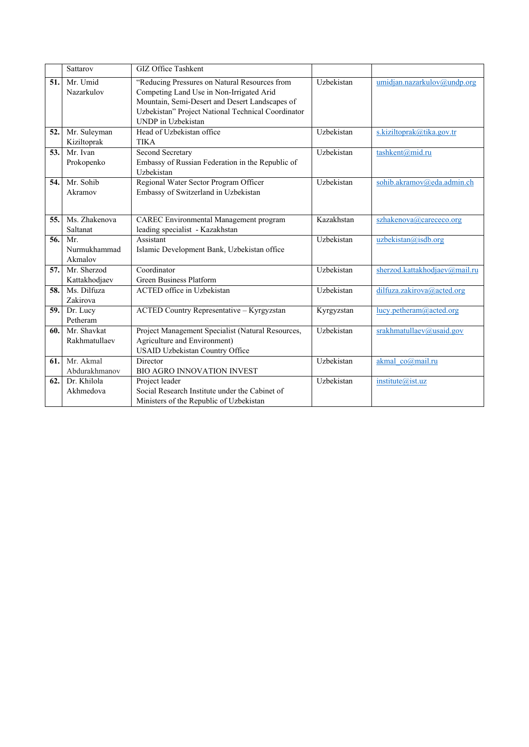|      | Sattarov               | GIZ Office Tashkent                                                                                                                                                                                                     |            |                               |
|------|------------------------|-------------------------------------------------------------------------------------------------------------------------------------------------------------------------------------------------------------------------|------------|-------------------------------|
| 51.  | Mr. Umid<br>Nazarkulov | "Reducing Pressures on Natural Resources from<br>Competing Land Use in Non-Irrigated Arid<br>Mountain, Semi-Desert and Desert Landscapes of<br>Uzbekistan" Project National Technical Coordinator<br>UNDP in Uzbekistan | Uzbekistan | umidjan.nazarkulov@undp.org   |
| 52.  | Mr. Suleyman           | Head of Uzbekistan office                                                                                                                                                                                               | Uzbekistan | s.kiziltoprak@tika.gov.tr     |
|      | Kiziltoprak            | <b>TIKA</b>                                                                                                                                                                                                             |            |                               |
| 53.  | Mr. Ivan               | Second Secretary                                                                                                                                                                                                        | Uzbekistan | tashkent@mid.ru               |
|      | Prokopenko             | Embassy of Russian Federation in the Republic of                                                                                                                                                                        |            |                               |
| 54.1 | Mr. Sohib              | Uzbekistan                                                                                                                                                                                                              | Uzbekistan |                               |
|      | Akramov                | Regional Water Sector Program Officer<br>Embassy of Switzerland in Uzbekistan                                                                                                                                           |            | sohib.akramov@eda.admin.ch    |
|      |                        |                                                                                                                                                                                                                         |            |                               |
|      |                        |                                                                                                                                                                                                                         |            |                               |
| 55.  | Ms. Zhakenova          | CAREC Environmental Management program                                                                                                                                                                                  | Kazakhstan | szhakenova@carececo.org       |
|      | Saltanat               | leading specialist - Kazakhstan                                                                                                                                                                                         |            |                               |
| 56.  | Mr.                    | Assistant                                                                                                                                                                                                               | Uzbekistan | uzbekistan@isdb.org           |
|      | Nurmukhammad           | Islamic Development Bank, Uzbekistan office                                                                                                                                                                             |            |                               |
|      | Akmalov                |                                                                                                                                                                                                                         |            |                               |
| 57.  | Mr. Sherzod            | Coordinator                                                                                                                                                                                                             | Uzbekistan | sherzod.kattakhodjaev@mail.ru |
|      | Kattakhodjaev          | Green Business Platform                                                                                                                                                                                                 |            |                               |
| 58.  | Ms. Dilfuza            | ACTED office in Uzbekistan                                                                                                                                                                                              | Uzbekistan | dilfuza.zakirova@acted.org    |
|      | Zakirova               |                                                                                                                                                                                                                         |            |                               |
| 59.  | Dr. Lucy<br>Petheram   | ACTED Country Representative - Kyrgyzstan                                                                                                                                                                               | Kyrgyzstan | lucy.petheram@acted.org       |
| 60.  | Mr. Shavkat            |                                                                                                                                                                                                                         | Uzbekistan |                               |
|      | Rakhmatullaev          | Project Management Specialist (Natural Resources,<br>Agriculture and Environment)                                                                                                                                       |            | srakhmatullaev@usaid.gov      |
|      |                        | USAID Uzbekistan Country Office                                                                                                                                                                                         |            |                               |
| 61.  | Mr. Akmal              | Director                                                                                                                                                                                                                | Uzbekistan | akmal co@mail.ru              |
|      | Abdurakhmanov          | <b>BIO AGRO INNOVATION INVEST</b>                                                                                                                                                                                       |            |                               |
| 62.  | Dr. Khilola            | Project leader                                                                                                                                                                                                          | Uzbekistan | institute@ist.uz              |
|      | Akhmedova              | Social Research Institute under the Cabinet of                                                                                                                                                                          |            |                               |
|      |                        | Ministers of the Republic of Uzbekistan                                                                                                                                                                                 |            |                               |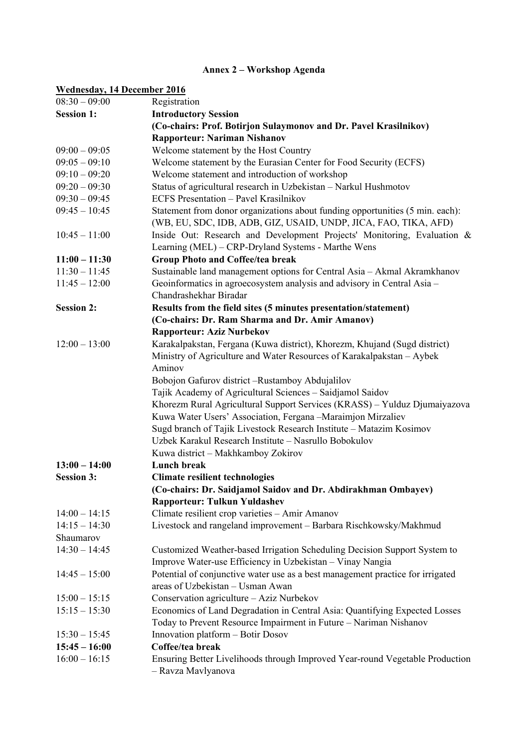## **Annex 2 – Workshop Agenda**

#### **Wednesday, 14 December 2016**

| $08:30 - 09:00$   | Registration                                                                   |
|-------------------|--------------------------------------------------------------------------------|
| <b>Session 1:</b> | <b>Introductory Session</b>                                                    |
|                   | (Co-chairs: Prof. Botirjon Sulaymonov and Dr. Pavel Krasilnikov)               |
|                   | Rapporteur: Nariman Nishanov                                                   |
| $09:00 - 09:05$   | Welcome statement by the Host Country                                          |
| $09:05 - 09:10$   | Welcome statement by the Eurasian Center for Food Security (ECFS)              |
| $09:10 - 09:20$   | Welcome statement and introduction of workshop                                 |
| $09:20 - 09:30$   | Status of agricultural research in Uzbekistan - Narkul Hushmotov               |
| $09:30 - 09:45$   | <b>ECFS Presentation - Pavel Krasilnikov</b>                                   |
| $09:45 - 10:45$   | Statement from donor organizations about funding opportunities (5 min. each):  |
|                   | (WB, EU, SDC, IDB, ADB, GIZ, USAID, UNDP, JICA, FAO, TIKA, AFD)                |
| $10:45 - 11:00$   | Inside Out: Research and Development Projects' Monitoring, Evaluation &        |
|                   | Learning (MEL) - CRP-Dryland Systems - Marthe Wens                             |
| $11:00 - 11:30$   | <b>Group Photo and Coffee/tea break</b>                                        |
| $11:30 - 11:45$   | Sustainable land management options for Central Asia - Akmal Akramkhanov       |
| $11:45 - 12:00$   | Geoinformatics in agroecosystem analysis and advisory in Central Asia -        |
|                   | Chandrashekhar Biradar                                                         |
| <b>Session 2:</b> | Results from the field sites (5 minutes presentation/statement)                |
|                   | (Co-chairs: Dr. Ram Sharma and Dr. Amir Amanov)                                |
|                   | <b>Rapporteur: Aziz Nurbekov</b>                                               |
| $12:00 - 13:00$   | Karakalpakstan, Fergana (Kuwa district), Khorezm, Khujand (Sugd district)      |
|                   | Ministry of Agriculture and Water Resources of Karakalpakstan - Aybek          |
|                   | Aminov                                                                         |
|                   | Bobojon Gafurov district -Rustamboy Abdujalilov                                |
|                   | Tajik Academy of Agricultural Sciences - Saidjamol Saidov                      |
|                   | Khorezm Rural Agricultural Support Services (KRASS) - Yulduz Djumaiyazova      |
|                   | Kuwa Water Users' Association, Fergana -Maraimjon Mirzaliev                    |
|                   | Sugd branch of Tajik Livestock Research Institute - Matazim Kosimov            |
|                   | Uzbek Karakul Research Institute - Nasrullo Bobokulov                          |
|                   | Kuwa district - Makhkamboy Zokirov                                             |
| $13:00 - 14:00$   | <b>Lunch break</b>                                                             |
| <b>Session 3:</b> | <b>Climate resilient technologies</b>                                          |
|                   | (Co-chairs: Dr. Saidjamol Saidov and Dr. Abdirakhman Ombayev)                  |
|                   | <b>Rapporteur: Tulkun Yuldashev</b>                                            |
| $14:00 - 14:15$   | Climate resilient crop varieties - Amir Amanov                                 |
| $14:15 - 14:30$   | Livestock and rangeland improvement - Barbara Rischkowsky/Makhmud              |
| Shaumarov         |                                                                                |
| $14:30 - 14:45$   | Customized Weather-based Irrigation Scheduling Decision Support System to      |
|                   | Improve Water-use Efficiency in Uzbekistan - Vinay Nangia                      |
| $14:45 - 15:00$   | Potential of conjunctive water use as a best management practice for irrigated |
|                   | areas of Uzbekistan - Usman Awan                                               |
| $15:00 - 15:15$   | Conservation agriculture - Aziz Nurbekov                                       |
| $15:15 - 15:30$   | Economics of Land Degradation in Central Asia: Quantifying Expected Losses     |
|                   | Today to Prevent Resource Impairment in Future - Nariman Nishanov              |
| $15:30 - 15:45$   | Innovation platform - Botir Dosov                                              |
| $15:45 - 16:00$   | Coffee/tea break                                                               |
| $16:00 - 16:15$   | Ensuring Better Livelihoods through Improved Year-round Vegetable Production   |
|                   | - Ravza Mavlyanova                                                             |